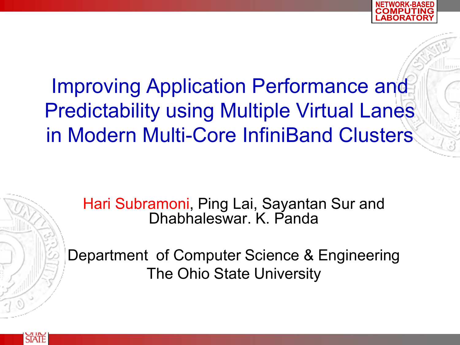



Department of Computer Science & Engineering The Ohio State University

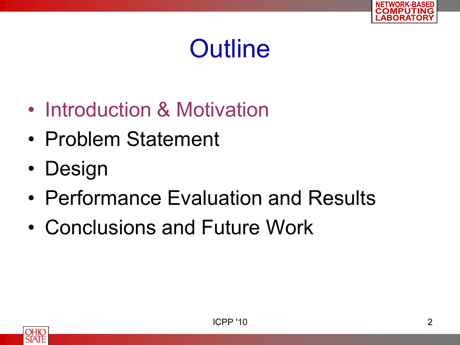

- Introduction & Motivation
- Problem Statement
- Design
- Performance Evaluation and Results
- Conclusions and Future Work

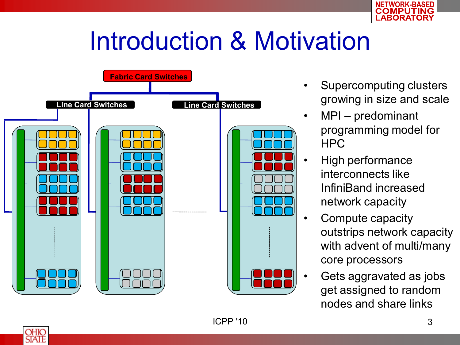

## Introduction & Motivation



- Supercomputing clusters growing in size and scale
	- MPI predominant programming model for HPC
	- High performance interconnects like InfiniBand increased network capacity
	- Compute capacity outstrips network capacity with advent of multi/many core processors
	- Gets aggravated as jobs get assigned to random nodes and share links

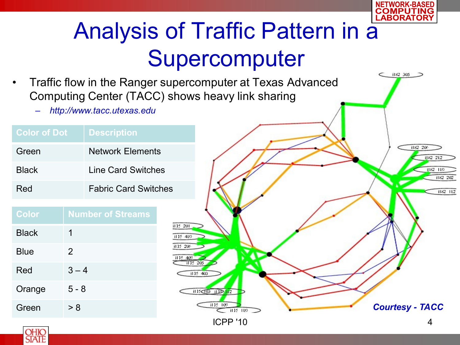

### Analysis of Traffic Pattern in a Supercomputer

• Traffic flow in the Ranger supercomputer at Texas Advanced Computing Center (TACC) shows heavy link sharing

> i115-201 il 15 410 i115-209 il 15 409

– *http://www.tacc.utexas.edu*

| <b>Color of Dot</b> | <b>Description</b>          |
|---------------------|-----------------------------|
| Green               | <b>Network Elements</b>     |
| <b>Black</b>        | Line Card Switches          |
| Red                 | <b>Fabric Card Switches</b> |

| <b>Color</b> | <b>Number of Streams</b> |
|--------------|--------------------------|
| <b>Black</b> | 1                        |
| <b>Blue</b>  | 2                        |
| Red          | $3 - 4$                  |
| Orange       | 5 - 8                    |
| Green        | > 8                      |



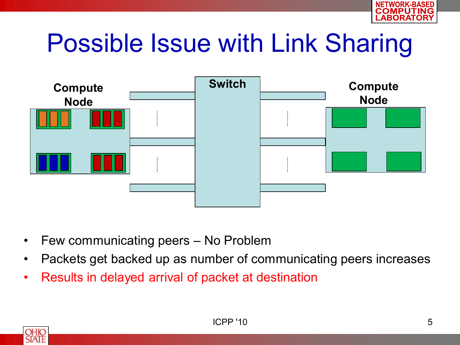

## Possible Issue with Link Sharing



- Few communicating peers No Problem
- Packets get backed up as number of communicating peers increases
- Results in delayed arrival of packet at destination

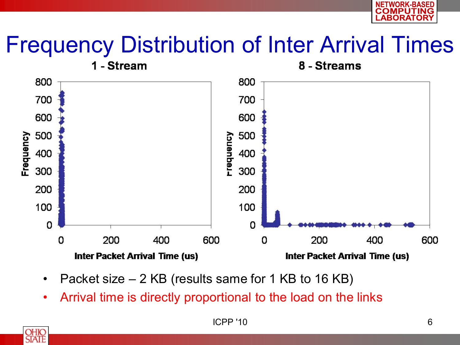

#### Frequency Distribution of Inter Arrival Times



- Packet size 2 KB (results same for 1 KB to 16 KB)
- Arrival time is directly proportional to the load on the links

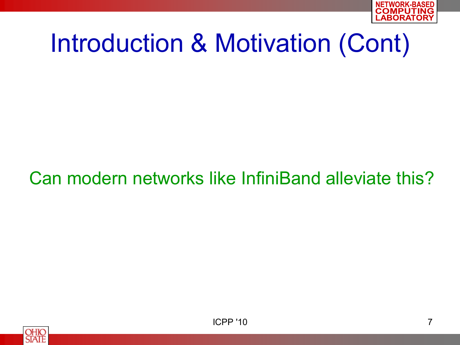

## Introduction & Motivation (Cont)

#### Can modern networks like InfiniBand alleviate this?



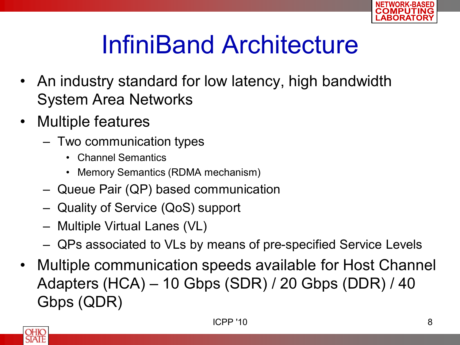

## InfiniBand Architecture

- An industry standard for low latency, high bandwidth System Area Networks
- Multiple features
	- Two communication types
		- Channel Semantics
		- Memory Semantics (RDMA mechanism)
	- Queue Pair (QP) based communication
	- Quality of Service (QoS) support
	- Multiple Virtual Lanes (VL)
	- QPs associated to VLs by means of pre-specified Service Levels
- Multiple communication speeds available for Host Channel Adapters (HCA) – 10 Gbps (SDR) / 20 Gbps (DDR) / 40 Gbps (QDR)

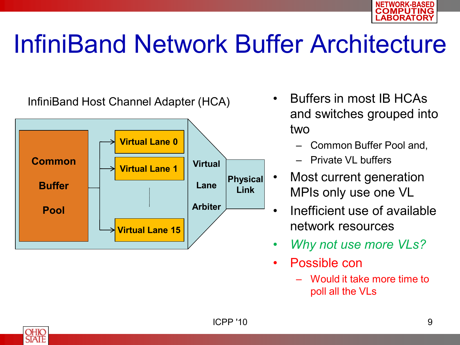

## InfiniBand Network Buffer Architecture



- Buffers in most IB HCAs and switches grouped into two
	- Common Buffer Pool and,
	- Private VL buffers
- Most current generation MPIs only use one VL
- Inefficient use of available network resources
- *Why not use more VLs?*
- Possible con
	- Would it take more time to poll all the VLs

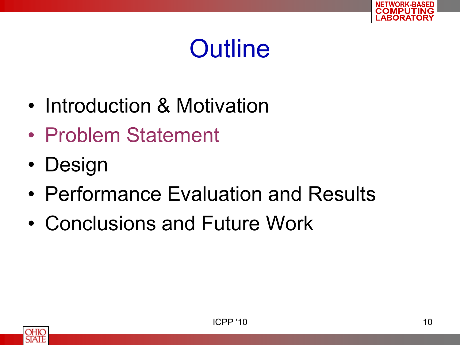

- Introduction & Motivation
- Problem Statement
- Design
- Performance Evaluation and Results
- Conclusions and Future Work

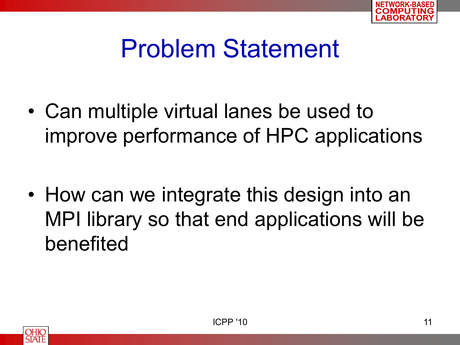

### Problem Statement

• Can multiple virtual lanes be used to improve performance of HPC applications

• How can we integrate this design into an MPI library so that end applications will be benefited

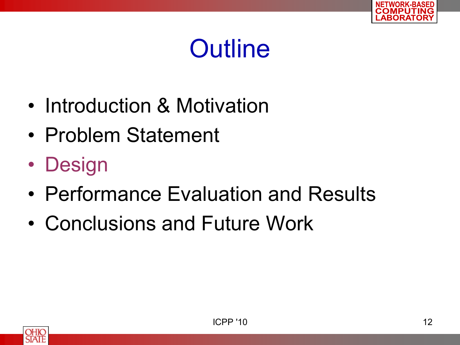

- Introduction & Motivation
- Problem Statement
- Design
- Performance Evaluation and Results
- Conclusions and Future Work

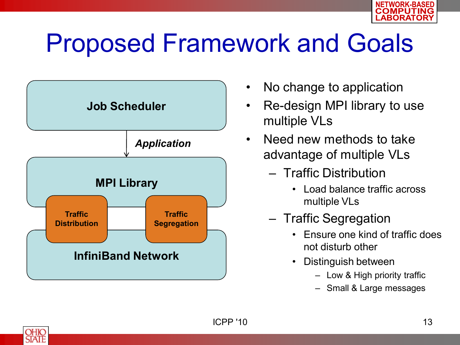

## Proposed Framework and Goals



- No change to application
- Re-design MPI library to use multiple VLs
- Need new methods to take advantage of multiple VLs
	- Traffic Distribution
		- Load balance traffic across multiple VLs
	- Traffic Segregation
		- Ensure one kind of traffic does not disturb other
		- Distinguish between
			- Low & High priority traffic
			- Small & Large messages

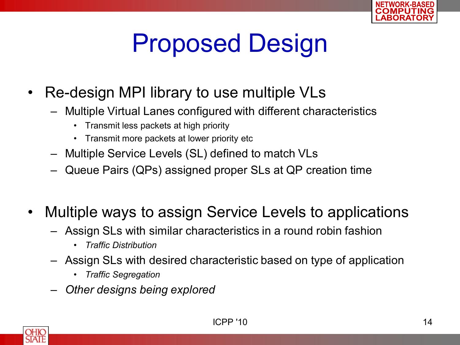

# Proposed Design

- Re-design MPI library to use multiple VLs
	- Multiple Virtual Lanes configured with different characteristics
		- Transmit less packets at high priority
		- Transmit more packets at lower priority etc
	- Multiple Service Levels (SL) defined to match VLs
	- Queue Pairs (QPs) assigned proper SLs at QP creation time
- Multiple ways to assign Service Levels to applications
	- Assign SLs with similar characteristics in a round robin fashion
		- *Traffic Distribution*
	- Assign SLs with desired characteristic based on type of application
		- *Traffic Segregation*
	- *Other designs being explored*

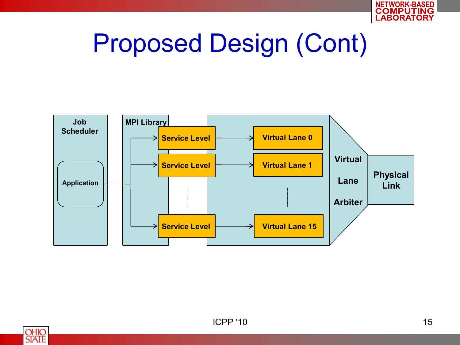

## Proposed Design (Cont)



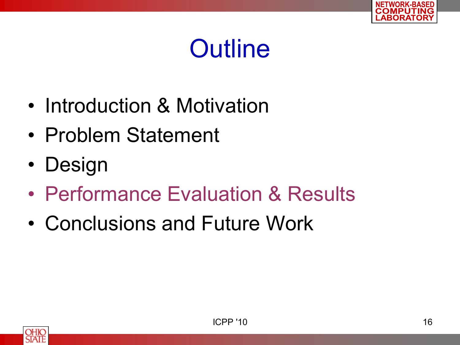

- Introduction & Motivation
- Problem Statement
- Design
- Performance Evaluation & Results
- Conclusions and Future Work

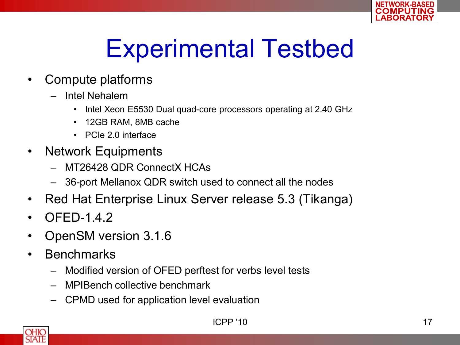

# Experimental Testbed

- Compute platforms
	- Intel Nehalem
		- Intel Xeon E5530 Dual quad-core processors operating at 2.40 GHz
		- 12GB RAM, 8MB cache
		- PCIe 2.0 interface
- Network Equipments
	- MT26428 QDR ConnectX HCAs
	- 36-port Mellanox QDR switch used to connect all the nodes
- Red Hat Enterprise Linux Server release 5.3 (Tikanga)
- **OFED-1.4.2**
- OpenSM version 3.1.6
- Benchmarks
	- Modified version of OFED perftest for verbs level tests
	- MPIBench collective benchmark
	- CPMD used for application level evaluation

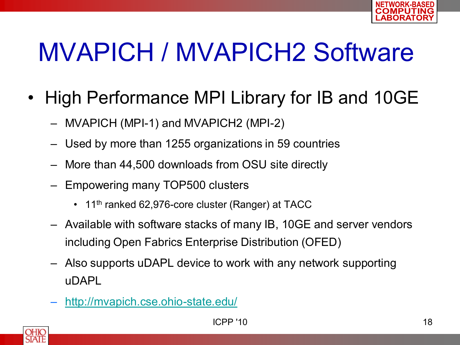

# MVAPICH / MVAPICH2 Software

- High Performance MPI Library for IB and 10GE
	- MVAPICH (MPI-1) and MVAPICH2 (MPI-2)
	- Used by more than 1255 organizations in 59 countries
	- More than 44,500 downloads from OSU site directly
	- Empowering many TOP500 clusters
		- 11<sup>th</sup> ranked 62,976-core cluster (Ranger) at TACC
	- Available with software stacks of many IB, 10GE and server vendors including Open Fabrics Enterprise Distribution (OFED)
	- Also supports uDAPL device to work with any network supporting uDAPL
	- <http://mvapich.cse.ohio-state.edu/>

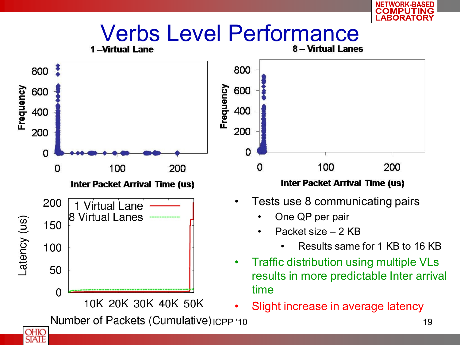

**OHIO**<br>STATE

ASED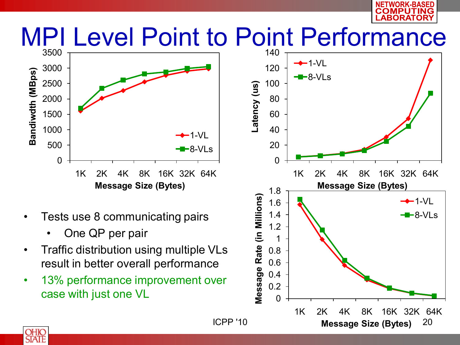

#### MPI Level Point to Point Performance



- Tests use 8 communicating pairs
	- One QP per pair
- Traffic distribution using multiple VLs result in better overall performance
- 13% performance improvement over case with just one VL



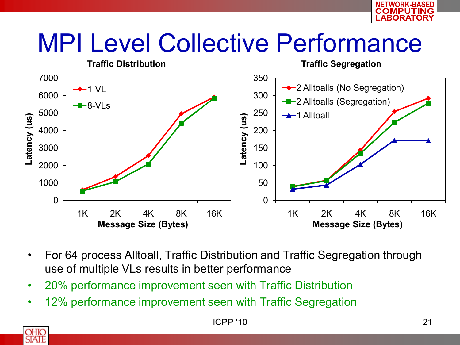

## MPI Level Collective Performance



- For 64 process Alltoall, Traffic Distribution and Traffic Segregation through use of multiple VLs results in better performance
- 20% performance improvement seen with Traffic Distribution
- 12% performance improvement seen with Traffic Segregation

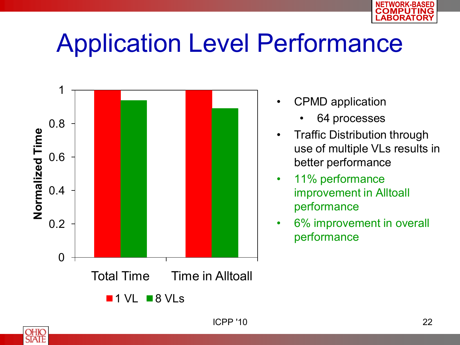

## Application Level Performance



- CPMD application
	- 64 processes
- **Traffic Distribution through** use of multiple VLs results in better performance
- 11% performance improvement in Alltoall performance
- 6% improvement in overall performance

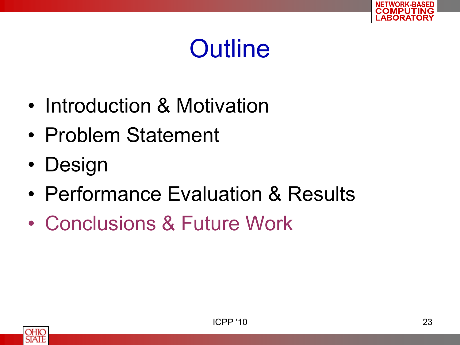

- Introduction & Motivation
- Problem Statement
- Design
- Performance Evaluation & Results
- Conclusions & Future Work

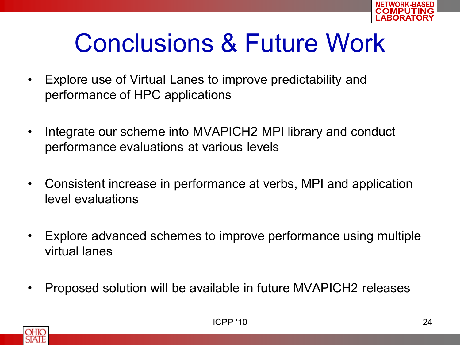

## Conclusions & Future Work

- Explore use of Virtual Lanes to improve predictability and performance of HPC applications
- Integrate our scheme into MVAPICH2 MPI library and conduct performance evaluations at various levels
- Consistent increase in performance at verbs, MPI and application level evaluations
- Explore advanced schemes to improve performance using multiple virtual lanes
- Proposed solution will be available in future MVAPICH2 releases